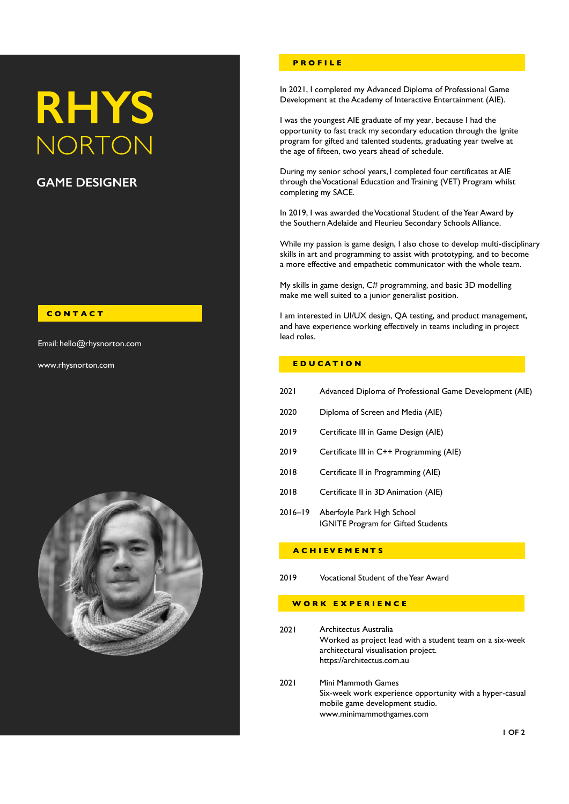# **RHYS NORTON**

## **GAME DESIGNER**

## **C O N T A C T**

Email: hello@rhysnorton.com

www.rhysnorton.com



## **P R O F I L E**

In 2021, I completed my Advanced Diploma of Professional Game Development at the Academy of Interactive Entertainment (AIE).

I was the youngest AIE graduate of my year, because I had the opportunity to fast track my secondary education through the Ignite program for gifted and talented students, graduating year twelve at the age of fifteen, two years ahead of schedule.

During my senior school years, I completed four certificates at AIE through the Vocational Education and Training (VET) Program whilst completing my SACE.

In 2019, I was awarded the Vocational Student of the Year Award by the Southern Adelaide and Fleurieu Secondary Schools Alliance.

While my passion is game design, I also chose to develop multi-disciplinary skills in art and programming to assist with prototyping, and to become a more effective and empathetic communicator with the whole team.

My skills in game design, C# programming, and basic 3D modelling make me well suited to a junior generalist position.

I am interested in UI/UX design, QA testing, and product management, and have experience working effectively in teams including in project lead roles.

## **E D U C A T I O N**

| 2021 | Advanced Diploma of Professional Game Development (AIE) |  |
|------|---------------------------------------------------------|--|
|------|---------------------------------------------------------|--|

- 2020 Diploma of Screen and Media (AIE)
- 2019 Certificate III in Game Design (AIE)
- 2019 Certificate III in C++ Programming (AIE)
- 2018 Certificate II in Programming (AIE)
- 2018 Certificate II in 3D Animation (AIE)
- 2016–19 Aberfoyle Park High School IGNITE Program for Gifted Students

## **A C H I EV E M E N T S**

2019 Vocational Student of the Year Award

## **W O R K E X P E R I E N C E**

- 2021 Architectus Australia Worked as project lead with a student team on a six-week architectural visualisation project. https://architectus.com.au
- 2021 Mini Mammoth Games Six-week work experience opportunity with a hyper-casual mobile game development studio. www.minimammothgames.com